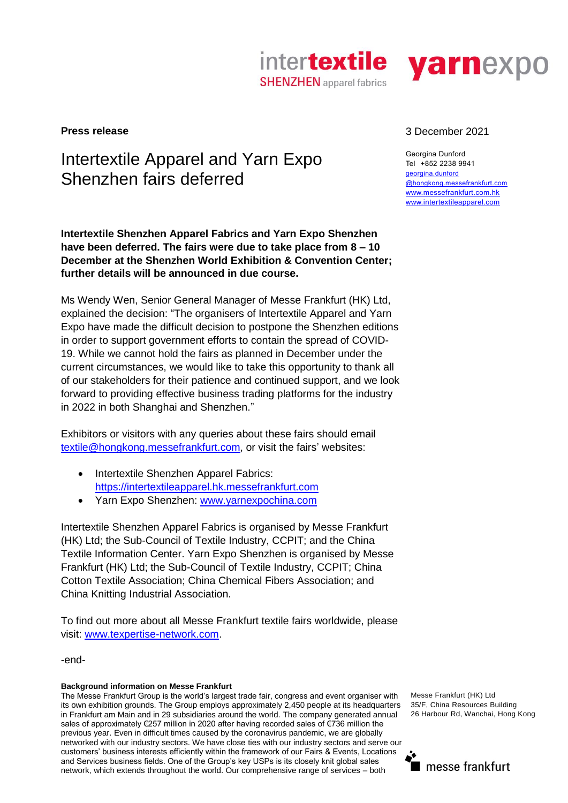



## Intertextile Apparel and Yarn Expo Shenzhen fairs deferred

**Intertextile Shenzhen Apparel Fabrics and Yarn Expo Shenzhen have been deferred. The fairs were due to take place from 8 – 10 December at the Shenzhen World Exhibition & Convention Center; further details will be announced in due course.** 

Ms Wendy Wen, Senior General Manager of Messe Frankfurt (HK) Ltd, explained the decision: "The organisers of Intertextile Apparel and Yarn Expo have made the difficult decision to postpone the Shenzhen editions in order to support government efforts to contain the spread of COVID-19. While we cannot hold the fairs as planned in December under the current circumstances, we would like to take this opportunity to thank all of our stakeholders for their patience and continued support, and we look forward to providing effective business trading platforms for the industry in 2022 in both Shanghai and Shenzhen."

Exhibitors or visitors with any queries about these fairs should email [textile@hongkong.messefrankfurt.com,](mailto:textile@hongkong.messefrankfurt.com) or visit the fairs' websites:

- Intertextile Shenzhen Apparel Fabrics: [https://intertextileapparel.hk.messefrankfurt.com](https://intertextileapparel.hk.messefrankfurt.com/)
- Yarn Expo Shenzhen: [www.yarnexpochina.com](http://www.yarnexpochina.com/)

Intertextile Shenzhen Apparel Fabrics is organised by Messe Frankfurt (HK) Ltd; the Sub-Council of Textile Industry, CCPIT; and the China Textile Information Center. Yarn Expo Shenzhen is organised by Messe Frankfurt (HK) Ltd; the Sub-Council of Textile Industry, CCPIT; China Cotton Textile Association; China Chemical Fibers Association; and China Knitting Industrial Association.

To find out more about all Messe Frankfurt textile fairs worldwide, please visit: [www.texpertise-network.com.](http://www.texpertise-network.com/)

-end-

## **Background information on Messe Frankfurt**

The Messe Frankfurt Group is the world's largest trade fair, congress and event organiser with its own exhibition grounds. The Group employs approximately 2,450 people at its headquarters in Frankfurt am Main and in 29 subsidiaries around the world. The company generated annual sales of approximately €257 million in 2020 after having recorded sales of €736 million the previous year. Even in difficult times caused by the coronavirus pandemic, we are globally networked with our industry sectors. We have close ties with our industry sectors and serve our customers' business interests efficiently within the framework of our Fairs & Events, Locations and Services business fields. One of the Group's key USPs is its closely knit global sales network, which extends throughout the world. Our comprehensive range of services – both

## **Press release** 3 December 2021

Georgina Dunford Tel +852 2238 9941 [georgina.dunford](mailto:emily.peddle@hongkong.messefrankfurt.com) [@hongkong.messefrankfurt.com](mailto:emily.peddle@hongkong.messefrankfurt.com) [www.messefrankfurt.com.hk](http://www.messefrankfurt.com.hk/) [www.intertextileapparel.com](http://www.intertextileapparel.com/)

Messe Frankfurt (HK) Ltd 35/F, China Resources Building 26 Harbour Rd, Wanchai, Hong Kong